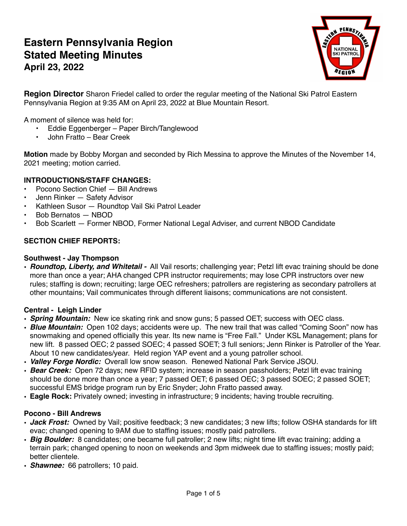# **Eastern Pennsylvania Region Stated Meeting Minutes April 23, 2022**



**Region Director** Sharon Friedel called to order the regular meeting of the National Ski Patrol Eastern Pennsylvania Region at 9:35 AM on April 23, 2022 at Blue Mountain Resort.

A moment of silence was held for:

- **•** Eddie Eggenberger Paper Birch/Tanglewood
- **•** John Fratto Bear Creek

**Motion** made by Bobby Morgan and seconded by Rich Messina to approve the Minutes of the November 14, 2021 meeting; motion carried.

# **INTRODUCTIONS/STAFF CHANGES:**

- Pocono Section Chief Bill Andrews
- Jenn Rinker Safety Advisor
- Kathleen Susor Roundtop Vail Ski Patrol Leader
- Bob Bernatos NBOD
- Bob Scarlett Former NBOD, Former National Legal Adviser, and current NBOD Candidate

# **SECTION CHIEF REPORTS:**

#### **Southwest - Jay Thompson**

• *Roundtop, Liberty, and Whitetail -* All Vail resorts; challenging year; Petzl lift evac training should be done more than once a year; AHA changed CPR instructor requirements; may lose CPR instructors over new rules; staffing is down; recruiting; large OEC refreshers; patrollers are registering as secondary patrollers at other mountains; Vail communicates through different liaisons; communications are not consistent.

## **Central - Leigh Linder**

- *Spring Mountain:* New ice skating rink and snow guns; 5 passed OET; success with OEC class.
- *Blue Mountain:* Open 102 days; accidents were up. The new trail that was called "Coming Soon" now has snowmaking and opened officially this year. Its new name is "Free Fall." Under KSL Management; plans for new lift. 8 passed OEC; 2 passed SOEC; 4 passed SOET; 3 full seniors; Jenn Rinker is Patroller of the Year. About 10 new candidates/year. Held region YAP event and a young patroller school.
- *Valley Forge Nordic:* Overall low snow season. Renewed National Park Service JSOU.
- *Bear Creek:* Open 72 days; new RFID system; increase in season passholders; Petzl lift evac training should be done more than once a year; 7 passed OET; 6 passed OEC; 3 passed SOEC; 2 passed SOET; successful EMS bridge program run by Eric Snyder; John Fratto passed away.
- **Eagle Rock:** Privately owned; investing in infrastructure; 9 incidents; having trouble recruiting.

## **Pocono - Bill Andrews**

- *Jack Frost:* Owned by Vail; positive feedback; 3 new candidates; 3 new lifts; follow OSHA standards for lift evac; changed opening to 9AM due to staffing issues; mostly paid patrollers.
- *Big Boulder:* 8 candidates; one became full patroller; 2 new lifts; night time lift evac training; adding a terrain park; changed opening to noon on weekends and 3pm midweek due to staffing issues; mostly paid; better clientele.
- *Shawnee:* 66 patrollers; 10 paid.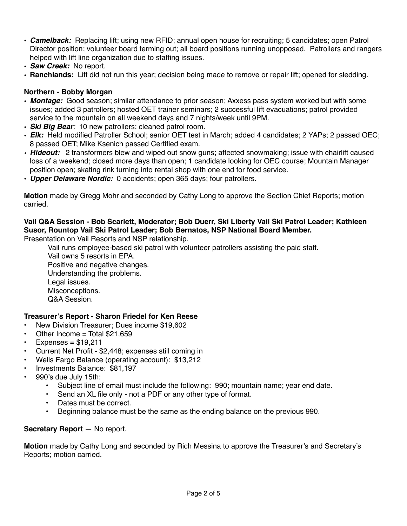- *Camelback:* Replacing lift; using new RFID; annual open house for recruiting; 5 candidates; open Patrol Director position; volunteer board terming out; all board positions running unopposed. Patrollers and rangers helped with lift line organization due to staffing issues.
- *Saw Creek:* No report.
- **Ranchlands:** Lift did not run this year; decision being made to remove or repair lift; opened for sledding.

# **Northern - Bobby Morgan**

- *Montage:* Good season; similar attendance to prior season; Axxess pass system worked but with some issues; added 3 patrollers; hosted OET trainer seminars; 2 successful lift evacuations; patrol provided service to the mountain on all weekend days and 7 nights/week until 9PM.
- *Ski Big Bear:* 10 new patrollers; cleaned patrol room.
- *Elk:* Held modified Patroller School; senior OET test in March; added 4 candidates; 2 YAPs; 2 passed OEC; 8 passed OET; Mike Ksenich passed Certified exam.
- *• Hideout:* 2 transformers blew and wiped out snow guns; affected snowmaking; issue with chairlift caused loss of a weekend; closed more days than open; 1 candidate looking for OEC course; Mountain Manager position open; skating rink turning into rental shop with one end for food service.
- *Upper Delaware Nordic:* 0 accidents; open 365 days; four patrollers.

**Motion** made by Gregg Mohr and seconded by Cathy Long to approve the Section Chief Reports; motion carried.

# **Vail Q&A Session - Bob Scarlett, Moderator; Bob Duerr, Ski Liberty Vail Ski Patrol Leader; Kathleen Susor, Rountop Vail Ski Patrol Leader; Bob Bernatos, NSP National Board Member.**

Presentation on Vail Resorts and NSP relationship.

Vail runs employee-based ski patrol with volunteer patrollers assisting the paid staff.

Vail owns 5 resorts in EPA. Positive and negative changes. Understanding the problems. Legal issues. Misconceptions. Q&A Session.

# **Treasurer's Report - Sharon Friedel for Ken Reese**

- **•** New Division Treasurer; Dues income \$19,602
- **•** Other Income = Total \$21,659
- **•** Expenses = \$19,211
- **•** Current Net Profit \$2,448; expenses still coming in
- **•** Wells Fargo Balance (operating account): \$13,212
- **•** Investments Balance: \$81,197
- **•** 990's due July 15th:
	- **•** Subject line of email must include the following: 990; mountain name; year end date.
	- **•** Send an XL file only not a PDF or any other type of format.
	- **•** Dates must be correct.
	- **•** Beginning balance must be the same as the ending balance on the previous 990.

# **Secretary Report** — No report.

**Motion** made by Cathy Long and seconded by Rich Messina to approve the Treasurer's and Secretary's Reports; motion carried.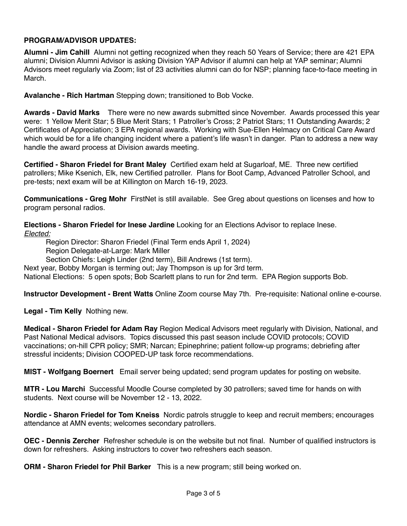# **PROGRAM/ADVISOR UPDATES:**

**Alumni - Jim Cahill** Alumni not getting recognized when they reach 50 Years of Service; there are 421 EPA alumni; Division Alumni Advisor is asking Division YAP Advisor if alumni can help at YAP seminar; Alumni Advisors meet regularly via Zoom; list of 23 activities alumni can do for NSP; planning face-to-face meeting in March.

**Avalanche - Rich Hartman** Stepping down; transitioned to Bob Vocke.

**Awards - David Marks** There were no new awards submitted since November. Awards processed this year were: 1 Yellow Merit Star; 5 Blue Merit Stars; 1 Patroller's Cross; 2 Patriot Stars; 11 Outstanding Awards; 2 Certificates of Appreciation; 3 EPA regional awards. Working with Sue-Ellen Helmacy on Critical Care Award which would be for a life changing incident where a patient's life wasn't in danger. Plan to address a new way handle the award process at Division awards meeting.

**Certified - Sharon Friedel for Brant Maley** Certified exam held at Sugarloaf, ME. Three new certified patrollers; Mike Ksenich, Elk, new Certified patroller. Plans for Boot Camp, Advanced Patroller School, and pre-tests; next exam will be at Killington on March 16-19, 2023.

**Communications - Greg Mohr** FirstNet is still available. See Greg about questions on licenses and how to program personal radios.

**Elections - Sharon Friedel for Inese Jardine** Looking for an Elections Advisor to replace Inese. *Elected:*

Region Director: Sharon Friedel (Final Term ends April 1, 2024)

Region Delegate-at-Large: Mark Miller

Section Chiefs: Leigh Linder (2nd term), Bill Andrews (1st term).

Next year, Bobby Morgan is terming out; Jay Thompson is up for 3rd term.

National Elections: 5 open spots; Bob Scarlett plans to run for 2nd term. EPA Region supports Bob.

**Instructor Development - Brent Watts** Online Zoom course May 7th. Pre-requisite: National online e-course.

**Legal - Tim Kelly** Nothing new.

**Medical - Sharon Friedel for Adam Ray** Region Medical Advisors meet regularly with Division, National, and Past National Medical advisors. Topics discussed this past season include COVID protocols; COVID vaccinations; on-hill CPR policy; SMR; Narcan; Epinephrine; patient follow-up programs; debriefing after stressful incidents; Division COOPED-UP task force recommendations.

**MIST - Wolfgang Boernert** Email server being updated; send program updates for posting on website.

**MTR - Lou Marchi** Successful Moodle Course completed by 30 patrollers; saved time for hands on with students. Next course will be November 12 - 13, 2022.

**Nordic - Sharon Friedel for Tom Kneiss** Nordic patrols struggle to keep and recruit members; encourages attendance at AMN events; welcomes secondary patrollers.

**OEC - Dennis Zercher** Refresher schedule is on the website but not final. Number of qualified instructors is down for refreshers. Asking instructors to cover two refreshers each season.

**ORM - Sharon Friedel for Phil Barker** This is a new program; still being worked on.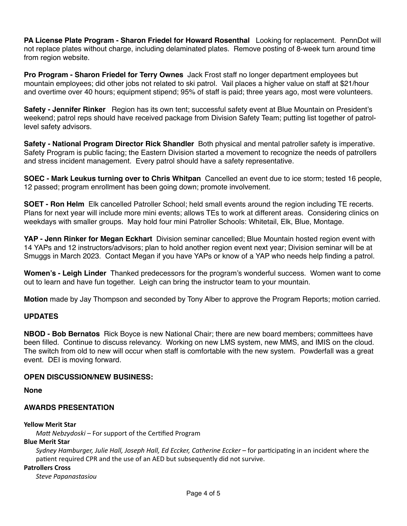**PA License Plate Program - Sharon Friedel for Howard Rosenthal** Looking for replacement. PennDot will not replace plates without charge, including delaminated plates. Remove posting of 8-week turn around time from region website.

**Pro Program - Sharon Friedel for Terry Ownes** Jack Frost staff no longer department employees but mountain employees; did other jobs not related to ski patrol. Vail places a higher value on staff at \$21/hour and overtime over 40 hours; equipment stipend; 95% of staff is paid; three years ago, most were volunteers.

Safety - Jennifer Rinker Region has its own tent; successful safety event at Blue Mountain on President's weekend; patrol reps should have received package from Division Safety Team; putting list together of patrollevel safety advisors.

**Safety - National Program Director Rick Shandler** Both physical and mental patroller safety is imperative. Safety Program is public facing; the Eastern Division started a movement to recognize the needs of patrollers and stress incident management. Every patrol should have a safety representative.

**SOEC - Mark Leukus turning over to Chris Whitpan** Cancelled an event due to ice storm; tested 16 people, 12 passed; program enrollment has been going down; promote involvement.

**SOET - Ron Helm** Elk cancelled Patroller School; held small events around the region including TE recerts. Plans for next year will include more mini events; allows TEs to work at different areas. Considering clinics on weekdays with smaller groups. May hold four mini Patroller Schools: Whitetail, Elk, Blue, Montage.

**YAP - Jenn Rinker for Megan Eckhart** Division seminar cancelled; Blue Mountain hosted region event with 14 YAPs and 12 instructors/advisors; plan to hold another region event next year; Division seminar will be at Smuggs in March 2023. Contact Megan if you have YAPs or know of a YAP who needs help finding a patrol.

**Women's - Leigh Linder** Thanked predecessors for the program's wonderful success. Women want to come out to learn and have fun together. Leigh can bring the instructor team to your mountain.

**Motion** made by Jay Thompson and seconded by Tony Alber to approve the Program Reports; motion carried.

#### **UPDATES**

**NBOD - Bob Bernatos** Rick Boyce is new National Chair; there are new board members; committees have been filled. Continue to discuss relevancy. Working on new LMS system, new MMS, and IMIS on the cloud. The switch from old to new will occur when staff is comfortable with the new system. Powderfall was a great event. DEI is moving forward.

#### **OPEN DISCUSSION/NEW BUSINESS:**

**None**

## **AWARDS PRESENTATION**

#### **Yellow Merit Star**

*Matt Nebzydoski* – For support of the Certified Program

#### **Blue Merit Star**

*Sydney Hamburger, Julie Hall, Joseph Hall, Ed Eccker, Catherine Eccker* – for participating in an incident where the patient required CPR and the use of an AED but subsequently did not survive.

**Patrollers Cross** 

*Steve Papanastasiou*